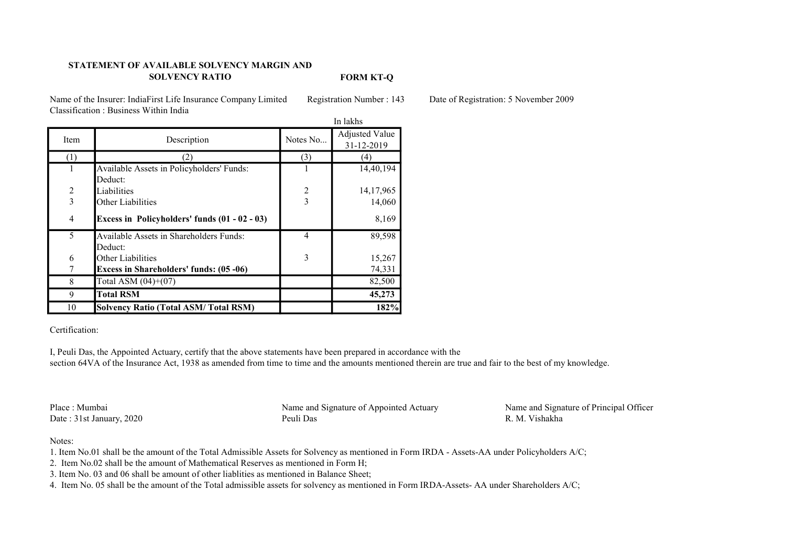## STATEMENT OF AVAILABLE SOLVENCY MARGIN AND SOLVENCY RATIO

FORM KT-Q

Name of the Insurer: IndiaFirst Life Insurance Company Limited Registration Number : 143 Date of Registration: 5 November 2009 Classification : Business Within India

|                | In lakhs                                       |                |                              |
|----------------|------------------------------------------------|----------------|------------------------------|
| Item           | Description                                    | Notes No       | Adjusted Value<br>31-12-2019 |
| (1)            | 2)                                             | (3)            | (4)                          |
| 1              | Available Assets in Policyholders' Funds:      |                | 14,40,194                    |
|                | Deduct:                                        |                |                              |
| $\overline{2}$ | Liabilities                                    | 2              | 14,17,965                    |
| $\overline{3}$ | Other Liabilities                              | 3              | 14,060                       |
| $\overline{4}$ | Excess in Policyholders' funds (01 - 02 - 03)  |                | 8,169                        |
| 5              | Available Assets in Shareholders Funds:        | $\overline{4}$ | 89,598                       |
|                | Deduct:                                        |                |                              |
| 6              | Other Liabilities                              | 3              | 15,267                       |
|                | <b>Excess in Shareholders' funds: (05 -06)</b> |                | 74,331                       |
| 8              | Total ASM $(04)+(07)$                          |                | 82,500                       |
| 9              | <b>Total RSM</b>                               |                | 45,273                       |
| 10             | <b>Solvency Ratio (Total ASM/Total RSM)</b>    |                | 182%                         |

## Certification:

I, Peuli Das, the Appointed Actuary, certify that the above statements have been prepared in accordance with the section 64VA of the Insurance Act, 1938 as amended from time to time and the amounts mentioned therein are true and fair to the best of my knowledge.

Date : 31st January, 2020

Place : Mumbai Name and Signature of Appointed Actuary Name and Signature of Principal Officer<br>Date : 31st January 2020 Peuli Das R. M. Vishakha

## Notes:

- 1. Item No.01 shall be the amount of the Total Admissible Assets for Solvency as mentioned in Form IRDA Assets-AA under Policyholders A/C;
- 2. Item No.02 shall be the amount of Mathematical Reserves as mentioned in Form H;
- 3. Item No. 03 and 06 shall be amount of other liablities as mentioned in Balance Sheet;
- 4. Item No. 05 shall be the amount of the Total admissible assets for solvency as mentioned in Form IRDA-Assets- AA under Shareholders A/C;